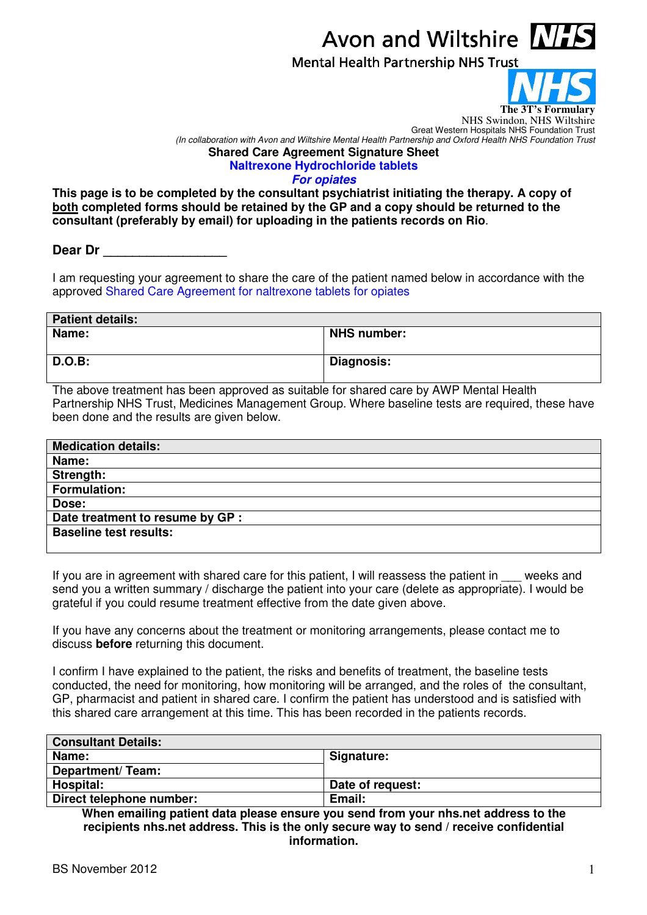## Avon and Wiltshire  $\mathbf{N}$

**Mental Health Partnership NHS Trust** 



NHS Swindon, NHS Wiltshire

Great Western Hospitals NHS Foundation Trust (In collaboration with Avon and Wiltshire Mental Health Partnership and Oxford Health NHS Foundation Trust **Shared Care Agreement Signature Sheet Naltrexone Hydrochloride tablets** 

**For opiates** 

**This page is to be completed by the consultant psychiatrist initiating the therapy. A copy of both completed forms should be retained by the GP and a copy should be returned to the consultant (preferably by email) for uploading in the patients records on Rio**.

Dear Dr

I am requesting your agreement to share the care of the patient named below in accordance with the approved Shared Care Agreement for naltrexone tablets for opiates

| <b>Patient details:</b> |                   |  |
|-------------------------|-------------------|--|
| Name:                   | NHS number:       |  |
| <b>D.O.B:</b>           | <b>Diagnosis:</b> |  |

The above treatment has been approved as suitable for shared care by AWP Mental Health Partnership NHS Trust, Medicines Management Group. Where baseline tests are required, these have been done and the results are given below.

| <b>Medication details:</b>       |
|----------------------------------|
| Name:                            |
| Strength:                        |
| <b>Formulation:</b>              |
| Dose:                            |
| Date treatment to resume by GP : |
| <b>Baseline test results:</b>    |
|                                  |

If you are in agreement with shared care for this patient, I will reassess the patient in \_\_\_ weeks and send you a written summary / discharge the patient into your care (delete as appropriate). I would be grateful if you could resume treatment effective from the date given above.

If you have any concerns about the treatment or monitoring arrangements, please contact me to discuss **before** returning this document.

I confirm I have explained to the patient, the risks and benefits of treatment, the baseline tests conducted, the need for monitoring, how monitoring will be arranged, and the roles of the consultant, GP, pharmacist and patient in shared care. I confirm the patient has understood and is satisfied with this shared care arrangement at this time. This has been recorded in the patients records.

| <b>Consultant Details:</b> |                  |
|----------------------------|------------------|
| Name:                      | Signature:       |
| Department/Team:           |                  |
| Hospital:                  | Date of request: |
| Direct telephone number:   | Email:           |

**When emailing patient data please ensure you send from your nhs.net address to the recipients nhs.net address. This is the only secure way to send / receive confidential information.**